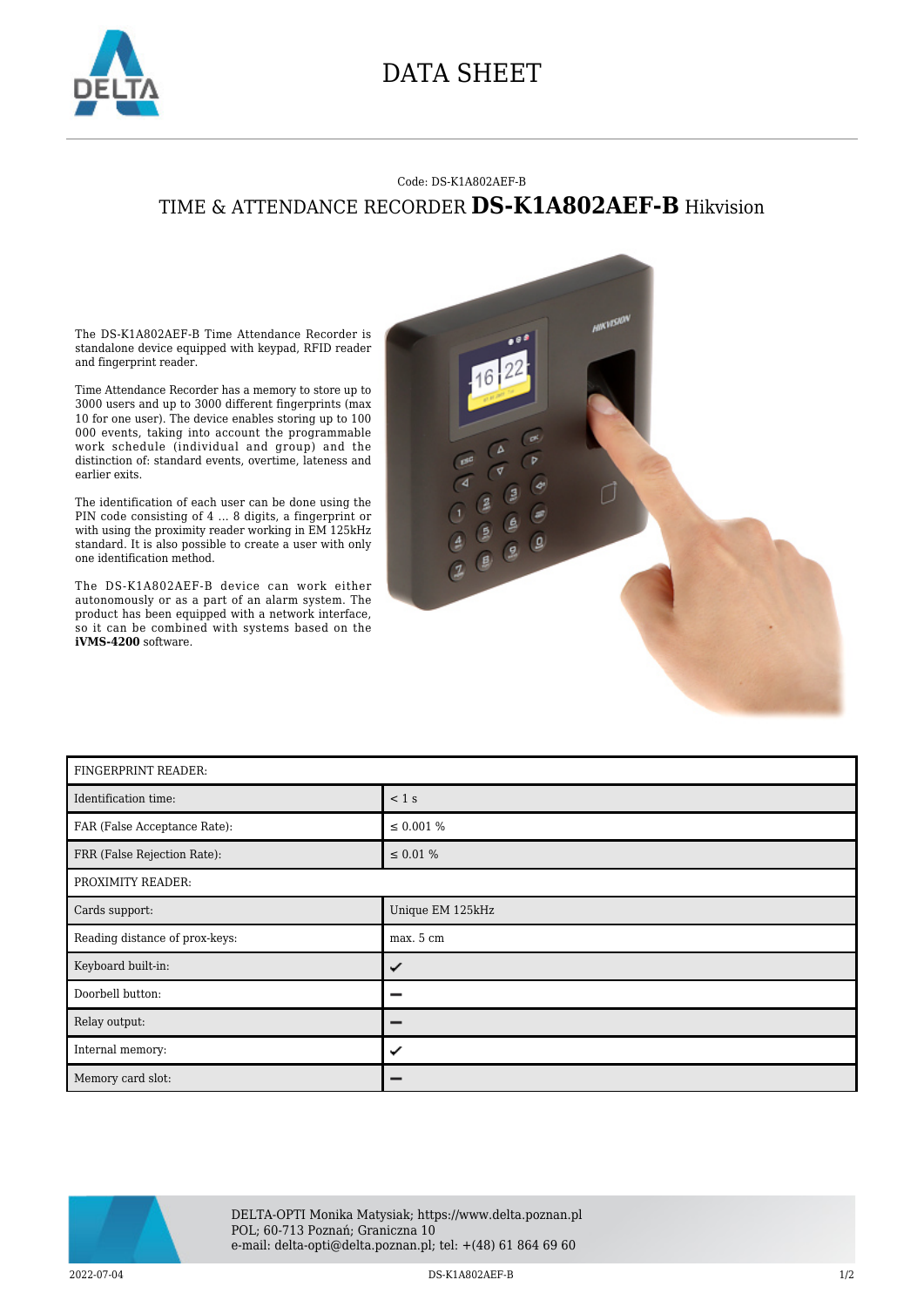

## DATA SHEET

## Code: DS-K1A802AEF-B TIME & ATTENDANCE RECORDER **DS-K1A802AEF-B** Hikvision

The DS-K1A802AEF-B Time Attendance Recorder is standalone device equipped with keypad, RFID reader and fingerprint reader.

Time Attendance Recorder has a memory to store up to 3000 users and up to 3000 different fingerprints (max 10 for one user). The device enables storing up to 100 000 events, taking into account the programmable work schedule (individual and group) and the distinction of: standard events, overtime, lateness and earlier exits.

The identification of each user can be done using the PIN code consisting of 4 ... 8 digits, a fingerprint or with using the proximity reader working in EM 125kHz standard. It is also possible to create a user with only one identification method.

The DS-K1A802AEF-B device can work either autonomously or as a part of an alarm system. The product has been equipped with a network interface, so it can be combined with systems based on the **iVMS-4200** software.



| FINGERPRINT READER:            |                  |
|--------------------------------|------------------|
| Identification time:           | $< 1$ s          |
| FAR (False Acceptance Rate):   | $\leq 0.001 \%$  |
| FRR (False Rejection Rate):    | $\leq 0.01 \%$   |
| PROXIMITY READER:              |                  |
| Cards support:                 | Unique EM 125kHz |
| Reading distance of prox-keys: | max. 5 cm        |
| Keyboard built-in:             | ✓                |
| Doorbell button:               |                  |
| Relay output:                  |                  |
| Internal memory:               | ✓                |
| Memory card slot:              |                  |



2022-07-04 DS-K1A802AEF-B 1/2